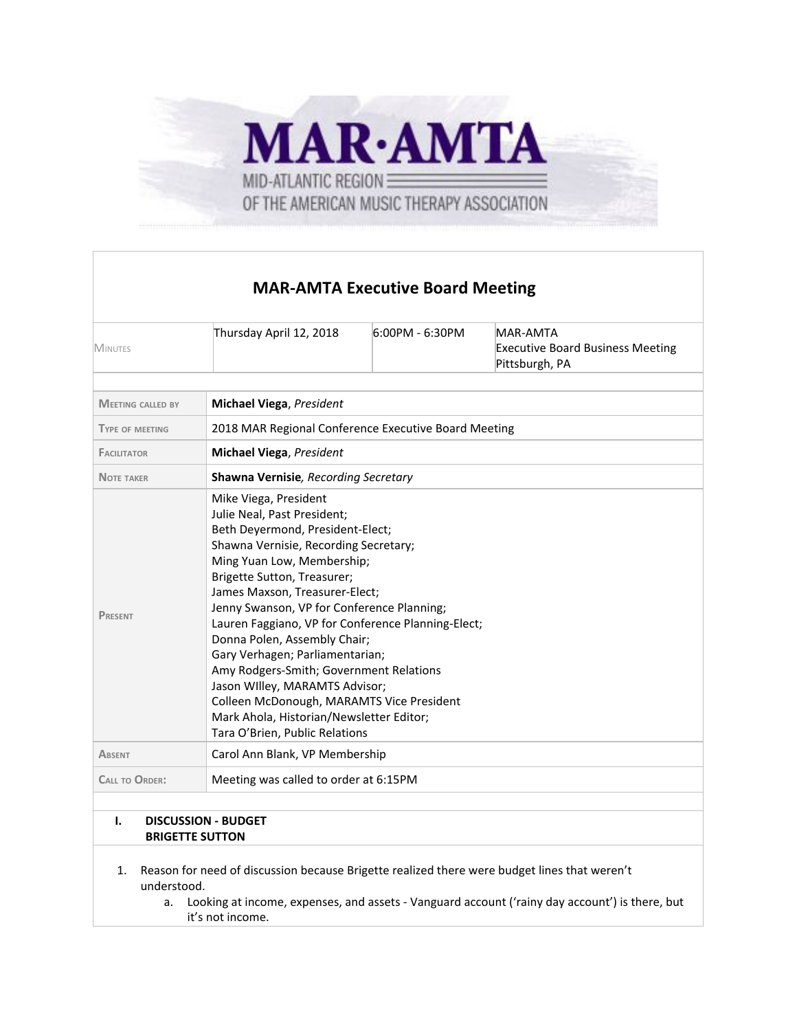

## **MAR-AMTA Executive Board Meeting**

| <b>MINUTES</b>                                                 | Thursday April 12, 2018                                                                                                                                                                                                                                                                                                                                                                                                                                                                                                                                                                                         | 6:00PM - 6:30PM | <b>MAR-AMTA</b><br><b>Executive Board Business Meeting</b><br>Pittsburgh, PA |
|----------------------------------------------------------------|-----------------------------------------------------------------------------------------------------------------------------------------------------------------------------------------------------------------------------------------------------------------------------------------------------------------------------------------------------------------------------------------------------------------------------------------------------------------------------------------------------------------------------------------------------------------------------------------------------------------|-----------------|------------------------------------------------------------------------------|
| <b>MEETING CALLED BY</b>                                       | <b>Michael Viega, President</b>                                                                                                                                                                                                                                                                                                                                                                                                                                                                                                                                                                                 |                 |                                                                              |
| <b>TYPE OF MEETING</b>                                         | 2018 MAR Regional Conference Executive Board Meeting                                                                                                                                                                                                                                                                                                                                                                                                                                                                                                                                                            |                 |                                                                              |
| <b>FACILITATOR</b>                                             | <b>Michael Viega, President</b>                                                                                                                                                                                                                                                                                                                                                                                                                                                                                                                                                                                 |                 |                                                                              |
| <b>NOTE TAKER</b>                                              | Shawna Vernisie, Recording Secretary                                                                                                                                                                                                                                                                                                                                                                                                                                                                                                                                                                            |                 |                                                                              |
| <b>PRESENT</b>                                                 | Mike Viega, President<br>Julie Neal, Past President;<br>Beth Deyermond, President-Elect;<br>Shawna Vernisie, Recording Secretary;<br>Ming Yuan Low, Membership;<br>Brigette Sutton, Treasurer;<br>James Maxson, Treasurer-Elect;<br>Jenny Swanson, VP for Conference Planning;<br>Lauren Faggiano, VP for Conference Planning-Elect;<br>Donna Polen, Assembly Chair;<br>Gary Verhagen; Parliamentarian;<br>Amy Rodgers-Smith; Government Relations<br>Jason Willey, MARAMTS Advisor;<br>Colleen McDonough, MARAMTS Vice President<br>Mark Ahola, Historian/Newsletter Editor;<br>Tara O'Brien, Public Relations |                 |                                                                              |
| <b>ABSENT</b>                                                  | Carol Ann Blank, VP Membership                                                                                                                                                                                                                                                                                                                                                                                                                                                                                                                                                                                  |                 |                                                                              |
| Meeting was called to order at 6:15PM<br><b>CALL TO ORDER:</b> |                                                                                                                                                                                                                                                                                                                                                                                                                                                                                                                                                                                                                 |                 |                                                                              |
|                                                                |                                                                                                                                                                                                                                                                                                                                                                                                                                                                                                                                                                                                                 |                 |                                                                              |
| Ι.<br><b>DISCUSSION - BUDGET</b><br><b>BRIGETTE SUTTON</b>     |                                                                                                                                                                                                                                                                                                                                                                                                                                                                                                                                                                                                                 |                 |                                                                              |

- 1. Reason for need of discussion because Brigette realized there were budget lines that weren't understood.
	- a. Looking at income, expenses, and assets Vanguard account ('rainy day account') is there, but it's not income.